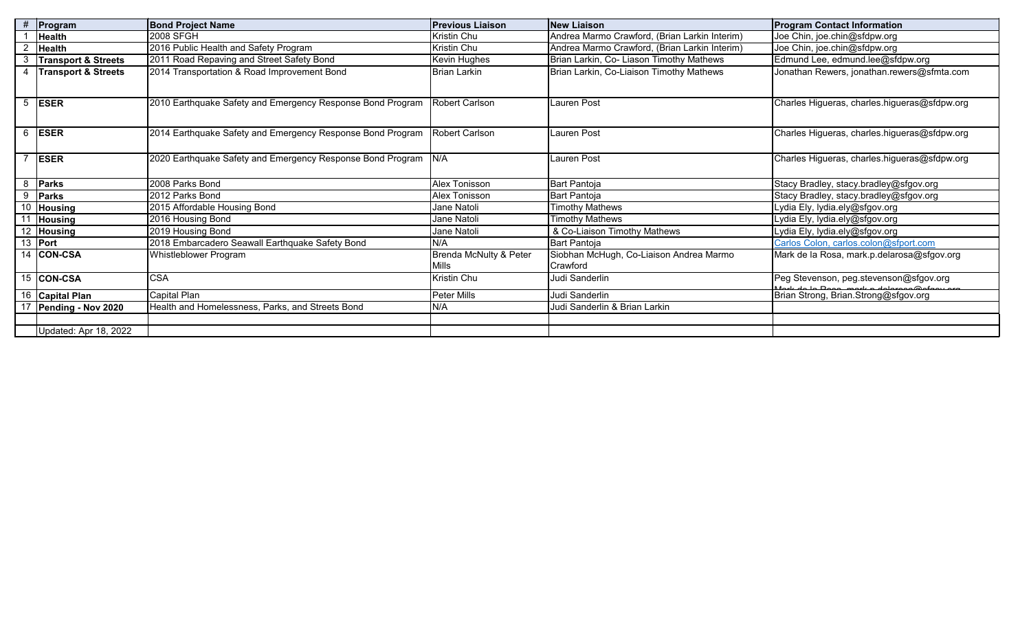| #               | Program                        | <b>Bond Project Name</b>                                   | <b>Previous Liaison</b> | <b>New Liaison</b>                            | <b>Program Contact Information</b>                               |
|-----------------|--------------------------------|------------------------------------------------------------|-------------------------|-----------------------------------------------|------------------------------------------------------------------|
|                 | <b>Health</b>                  | 2008 SFGH                                                  | Kristin Chu             | Andrea Marmo Crawford, (Brian Larkin Interim) | Joe Chin, joe.chin@sfdpw.org                                     |
| $\overline{2}$  | <b>Health</b>                  | 2016 Public Health and Safety Program                      | Kristin Chu             | Andrea Marmo Crawford, (Brian Larkin Interim) | Joe Chin, joe.chin@sfdpw.org                                     |
| 3               | <b>Transport &amp; Streets</b> | 2011 Road Repaving and Street Safety Bond                  | Kevin Hughes            | Brian Larkin, Co- Liason Timothy Mathews      | Edmund Lee, edmund.lee@sfdpw.org                                 |
| 4               | <b>Transport &amp; Streets</b> | 2014 Transportation & Road Improvement Bond                | <b>Brian Larkin</b>     | Brian Larkin, Co-Liaison Timothy Mathews      | Jonathan Rewers, jonathan.rewers@sfmta.com                       |
|                 |                                |                                                            |                         |                                               |                                                                  |
| 5               | <b>ESER</b>                    | 2010 Earthquake Safety and Emergency Response Bond Program | Robert Carlson          | <b>Lauren Post</b>                            | Charles Higueras, charles.higueras@sfdpw.org                     |
|                 |                                |                                                            |                         |                                               |                                                                  |
|                 |                                |                                                            |                         |                                               |                                                                  |
| 6               | <b>ESER</b>                    | 2014 Earthquake Safety and Emergency Response Bond Program | <b>Robert Carlson</b>   | Lauren Post                                   | Charles Higueras, charles.higueras@sfdpw.org                     |
|                 |                                |                                                            |                         |                                               |                                                                  |
|                 | <b>ESER</b>                    | 2020 Earthquake Safety and Emergency Response Bond Program | N/A                     | Lauren Post                                   | Charles Higueras, charles.higueras@sfdpw.org                     |
|                 |                                |                                                            |                         |                                               |                                                                  |
| 8               | Parks                          | 2008 Parks Bond                                            | Alex Tonisson           | <b>Bart Pantoja</b>                           | Stacy Bradley, stacy.bradley@sfgov.org                           |
| 9               | <b>Parks</b>                   | 2012 Parks Bond                                            | Alex Tonisson           | Bart Pantoja                                  | Stacy Bradley, stacy.bradley@sfgov.org                           |
|                 | $\overline{10}$ Housing        | 2015 Affordable Housing Bond                               | Jane Natoli             | Timothy Mathews                               | Lydia Ely, lydia.ely@sfgov.org                                   |
| $\overline{11}$ | <b>Housing</b>                 | 2016 Housing Bond                                          | Jane Natoli             | <b>Timothy Mathews</b>                        | Lydia Ely, lydia.ely@sfgov.org                                   |
|                 | 12 Housing                     | 2019 Housing Bond                                          | Jane Natoli             | & Co-Liaison Timothy Mathews                  | Lydia Ely, lydia.ely@sfgov.org                                   |
|                 | 13 Port                        | 2018 Embarcadero Seawall Earthquake Safety Bond            | N/A                     | Bart Pantoja                                  | Carlos Colon, carlos.colon@sfport.com                            |
|                 | 14 CON-CSA                     | Whistleblower Program                                      | Brenda McNulty & Peter  | Siobhan McHugh, Co-Liaison Andrea Marmo       | Mark de la Rosa, mark.p.delarosa@sfgov.org                       |
|                 |                                |                                                            | <b>Mills</b>            | Crawford                                      |                                                                  |
|                 | 15 CON-CSA                     | <b>CSA</b>                                                 | Kristin Chu             | Judi Sanderlin                                | Peg Stevenson, peg.stevenson@sfgov.org                           |
|                 | 16 Capital Plan                | Capital Plan                                               | Peter Mills             | Judi Sanderlin                                | de la Desa mark a delaro<br>Brian Strong, Brian.Strong@sfgov.org |
|                 | 17 Pending - Nov 2020          | Health and Homelessness, Parks, and Streets Bond           | N/A                     | Judi Sanderlin & Brian Larkin                 |                                                                  |
|                 |                                |                                                            |                         |                                               |                                                                  |
|                 | Updated: Apr 18, 2022          |                                                            |                         |                                               |                                                                  |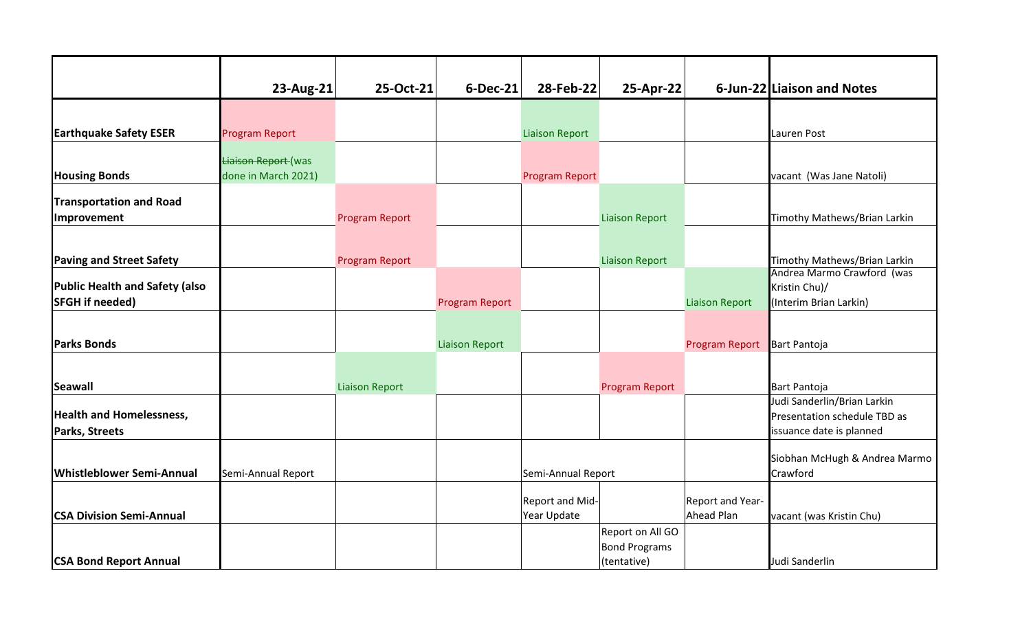|                                                   | 23-Aug-21             | 25-Oct-21             | $6$ -Dec-21           | 28-Feb-22             | 25-Apr-22                           |                       | 6-Jun-22 Liaison and Notes                               |
|---------------------------------------------------|-----------------------|-----------------------|-----------------------|-----------------------|-------------------------------------|-----------------------|----------------------------------------------------------|
|                                                   |                       |                       |                       |                       |                                     |                       |                                                          |
| <b>Earthquake Safety ESER</b>                     | <b>Program Report</b> |                       |                       | <b>Liaison Report</b> |                                     |                       | Lauren Post                                              |
|                                                   | Liaison Report (was   |                       |                       |                       |                                     |                       |                                                          |
| <b>Housing Bonds</b>                              | done in March 2021)   |                       |                       | Program Report        |                                     |                       | vacant (Was Jane Natoli)                                 |
| <b>Transportation and Road</b>                    |                       |                       |                       |                       |                                     |                       |                                                          |
| Improvement                                       |                       | <b>Program Report</b> |                       |                       | <b>Liaison Report</b>               |                       | Timothy Mathews/Brian Larkin                             |
|                                                   |                       |                       |                       |                       |                                     |                       |                                                          |
| <b>Paving and Street Safety</b>                   |                       | <b>Program Report</b> |                       |                       | <b>Liaison Report</b>               |                       | Timothy Mathews/Brian Larkin                             |
| <b>Public Health and Safety (also</b>             |                       |                       |                       |                       |                                     |                       | Andrea Marmo Crawford (was<br>Kristin Chu)/              |
| <b>SFGH</b> if needed)                            |                       |                       | <b>Program Report</b> |                       |                                     | <b>Liaison Report</b> | (Interim Brian Larkin)                                   |
|                                                   |                       |                       |                       |                       |                                     |                       |                                                          |
| <b>Parks Bonds</b>                                |                       |                       | <b>Liaison Report</b> |                       |                                     | Program Report        | <b>Bart Pantoja</b>                                      |
|                                                   |                       |                       |                       |                       |                                     |                       |                                                          |
| <b>Seawall</b>                                    |                       | <b>Liaison Report</b> |                       |                       | Program Report                      |                       | <b>Bart Pantoja</b>                                      |
|                                                   |                       |                       |                       |                       |                                     |                       | Judi Sanderlin/Brian Larkin                              |
| <b>Health and Homelessness,</b><br>Parks, Streets |                       |                       |                       |                       |                                     |                       | Presentation schedule TBD as<br>issuance date is planned |
|                                                   |                       |                       |                       |                       |                                     |                       |                                                          |
| <b>Whistleblower Semi-Annual</b>                  | Semi-Annual Report    |                       |                       | Semi-Annual Report    |                                     |                       | Siobhan McHugh & Andrea Marmo<br>Crawford                |
|                                                   |                       |                       |                       |                       |                                     |                       |                                                          |
|                                                   |                       |                       |                       | Report and Mid-       |                                     | Report and Year-      |                                                          |
| <b>CSA Division Semi-Annual</b>                   |                       |                       |                       | Year Update           |                                     | Ahead Plan            | vacant (was Kristin Chu)                                 |
|                                                   |                       |                       |                       |                       | Report on All GO                    |                       |                                                          |
| <b>CSA Bond Report Annual</b>                     |                       |                       |                       |                       | <b>Bond Programs</b><br>(tentative) |                       | Judi Sanderlin                                           |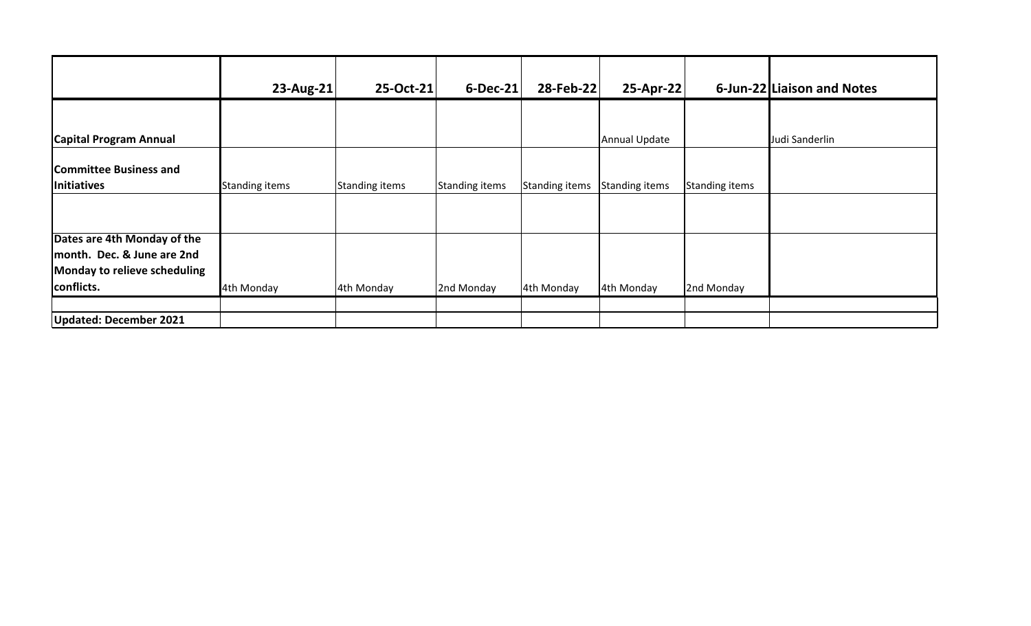|                               | $23$ -Aug-21          | 25-Oct-21      | 6-Dec-21       | 28-Feb-22      | 25-Apr-22             |                | 6-Jun-22 Liaison and Notes |
|-------------------------------|-----------------------|----------------|----------------|----------------|-----------------------|----------------|----------------------------|
|                               |                       |                |                |                |                       |                |                            |
| <b>Capital Program Annual</b> |                       |                |                |                | Annual Update         |                | Judi Sanderlin             |
| <b>Committee Business and</b> |                       |                |                |                |                       |                |                            |
| Initiatives                   | <b>Standing items</b> | Standing items | Standing items | Standing items | <b>Standing items</b> | Standing items |                            |
|                               |                       |                |                |                |                       |                |                            |
|                               |                       |                |                |                |                       |                |                            |
| Dates are 4th Monday of the   |                       |                |                |                |                       |                |                            |
| month. Dec. & June are 2nd    |                       |                |                |                |                       |                |                            |
| Monday to relieve scheduling  |                       |                |                |                |                       |                |                            |
| conflicts.                    | 4th Monday            | 4th Monday     | 2nd Monday     | 4th Monday     | 4th Monday            | 2nd Monday     |                            |
|                               |                       |                |                |                |                       |                |                            |
| <b>Updated: December 2021</b> |                       |                |                |                |                       |                |                            |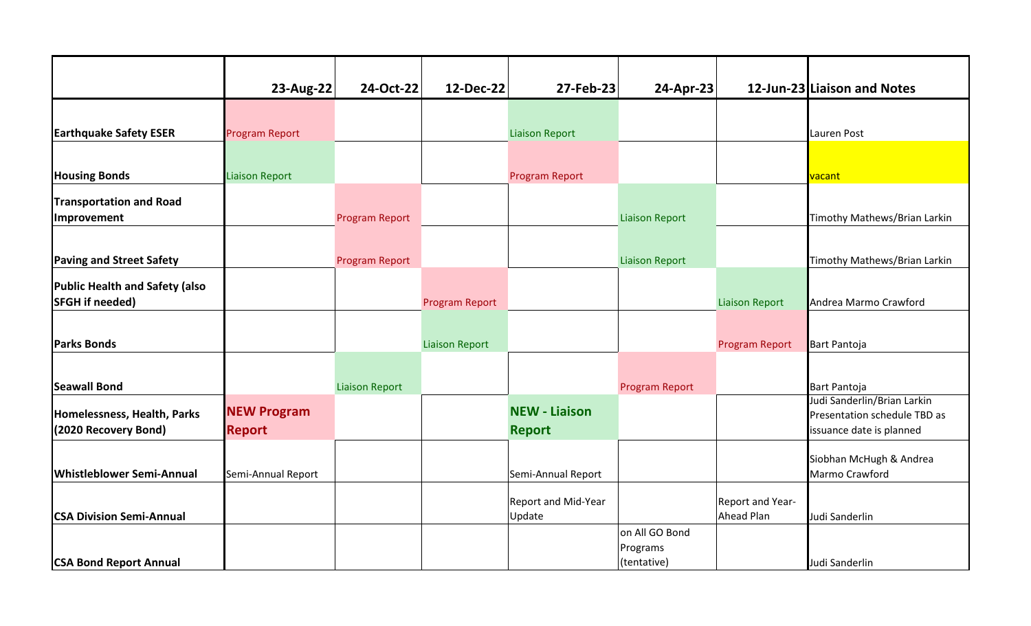|                                  | 23-Aug-22             | 24-Oct-22             | 12-Dec-22             | 27-Feb-23                     | 24-Apr-23               |                                | 12-Jun-23 Liaison and Notes                                 |
|----------------------------------|-----------------------|-----------------------|-----------------------|-------------------------------|-------------------------|--------------------------------|-------------------------------------------------------------|
|                                  |                       |                       |                       |                               |                         |                                |                                                             |
| <b>Earthquake Safety ESER</b>    | <b>Program Report</b> |                       |                       | <b>Liaison Report</b>         |                         |                                | Lauren Post                                                 |
|                                  |                       |                       |                       |                               |                         |                                |                                                             |
| <b>Housing Bonds</b>             | <b>Liaison Report</b> |                       |                       | Program Report                |                         |                                | vacant                                                      |
| <b>Transportation and Road</b>   |                       |                       |                       |                               |                         |                                |                                                             |
| Improvement                      |                       | <b>Program Report</b> |                       |                               | <b>Liaison Report</b>   |                                | Timothy Mathews/Brian Larkin                                |
|                                  |                       |                       |                       |                               |                         |                                |                                                             |
| <b>Paving and Street Safety</b>  |                       | <b>Program Report</b> |                       |                               | <b>Liaison Report</b>   |                                | Timothy Mathews/Brian Larkin                                |
| Public Health and Safety (also   |                       |                       |                       |                               |                         |                                |                                                             |
| <b>SFGH</b> if needed)           |                       |                       | <b>Program Report</b> |                               |                         | <b>Liaison Report</b>          | Andrea Marmo Crawford                                       |
|                                  |                       |                       |                       |                               |                         |                                |                                                             |
| <b>Parks Bonds</b>               |                       |                       | <b>Liaison Report</b> |                               |                         | Program Report                 | <b>Bart Pantoja</b>                                         |
|                                  |                       |                       |                       |                               |                         |                                |                                                             |
| <b>Seawall Bond</b>              |                       | <b>Liaison Report</b> |                       |                               | Program Report          |                                | <b>Bart Pantoja</b>                                         |
| Homelessness, Health, Parks      | <b>NEW Program</b>    |                       |                       | <b>NEW - Liaison</b>          |                         |                                | Judi Sanderlin/Brian Larkin<br>Presentation schedule TBD as |
| (2020 Recovery Bond)             | <b>Report</b>         |                       |                       | <b>Report</b>                 |                         |                                | issuance date is planned                                    |
|                                  |                       |                       |                       |                               |                         |                                |                                                             |
| <b>Whistleblower Semi-Annual</b> | Semi-Annual Report    |                       |                       | Semi-Annual Report            |                         |                                | Siobhan McHugh & Andrea<br>Marmo Crawford                   |
|                                  |                       |                       |                       |                               |                         |                                |                                                             |
| <b>CSA Division Semi-Annual</b>  |                       |                       |                       | Report and Mid-Year<br>Update |                         | Report and Year-<br>Ahead Plan | Judi Sanderlin                                              |
|                                  |                       |                       |                       |                               | on All GO Bond          |                                |                                                             |
| <b>CSA Bond Report Annual</b>    |                       |                       |                       |                               | Programs<br>(tentative) |                                | Judi Sanderlin                                              |